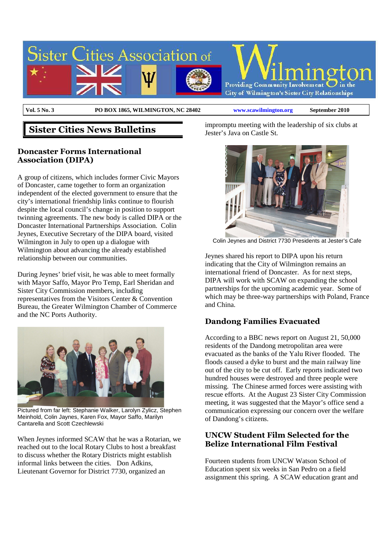

**Vol. 5 No. 3 PO BOX 1865, WILMINGTON, NC 28402 www.scawilmington.org September 2010**

# **Sister Cities News Bulletins**

### **Doncaster Forms International Association (DIPA)**

A group of citizens, which includes former Civic Mayors of Doncaster, came together to form an organization independent of the elected government to ensure that the city's international friendship links continue to flourish despite the local council's change in position to support twinning agreements. The new body is called DIPA or the Doncaster International Partnerships Association. Colin Jeynes, Executive Secretary of the DIPA board, visited Wilmington in July to open up a dialogue with Wilmington about advancing the already established relationship between our communities.

During Jeynes' brief visit, he was able to meet formally with Mayor Saffo, Mayor Pro Temp, Earl Sheridan and Sister City Commission members, including representatives from the Visitors Center & Convention Bureau, the Greater Wilmington Chamber of Commerce and the NC Ports Authority.



Pictured from far left: Stephanie Walker, Larolyn Zylicz, Stephen Meinhold, Colin Jaynes, Karen Fox, Mayor Saffo, Marilyn Cantarella and Scott Czechlewski

When Jeynes informed SCAW that he was a Rotarian, we reached out to the local Rotary Clubs to host a breakfast to discuss whether the Rotary Districts might establish informal links between the cities. Don Adkins, Lieutenant Governor for District 7730, organized an

impromptu meeting with the leadership of six clubs at Jester's Java on Castle St.



Colin Jeynes and District 7730 Presidents at Jester's Cafe

Jeynes shared his report to DIPA upon his return indicating that the City of Wilmington remains an international friend of Doncaster. As for next steps, DIPA will work with SCAW on expanding the school partnerships for the upcoming academic year. Some of which may be three-way partnerships with Poland, France and China.

## **Dandong Families Evacuated**

According to a BBC news report on August 21, 50,000 residents of the Dandong metropolitan area were evacuated as the banks of the Yalu River flooded. The floods caused a dyke to burst and the main railway line out of the city to be cut off. Early reports indicated two hundred houses were destroyed and three people were missing. The Chinese armed forces were assisting with rescue efforts. At the August 23 Sister City Commission meeting, it was suggested that the Mayor's office send a communication expressing our concern over the welfare of Dandong's citizens.

#### **UNCW Student Film Selected for the Belize International Film Festival**

Fourteen students from UNCW Watson School of Education spent six weeks in San Pedro on a field assignment this spring. A SCAW education grant and